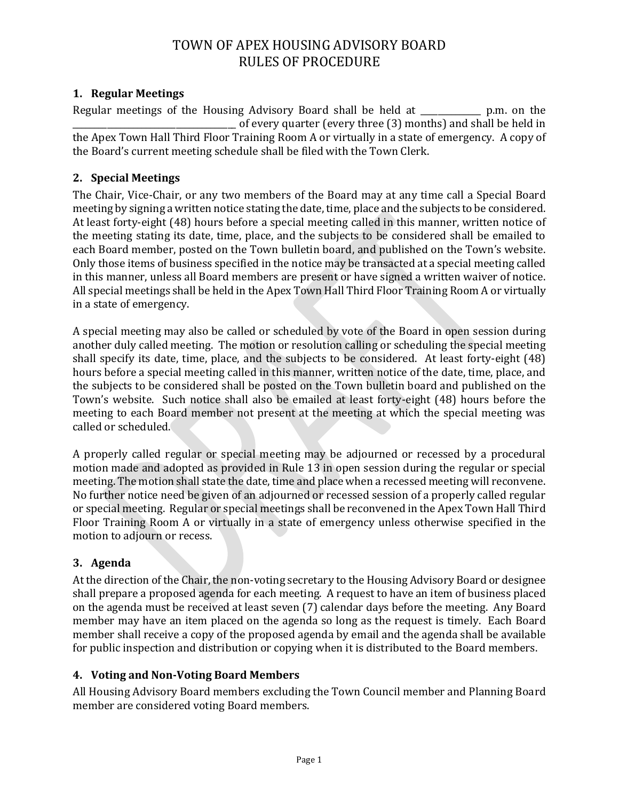## **1. Regular Meetings**

Regular meetings of the Housing Advisory Board shall be held at \_\_\_\_\_\_\_\_\_\_\_\_\_\_ p.m. on the \_\_\_\_\_\_\_\_\_\_\_\_\_\_\_\_\_\_\_\_\_\_\_\_\_\_\_\_\_\_\_\_\_\_\_\_\_\_ of every quarter (every three (3) months) and shall be held in the Apex Town Hall Third Floor Training Room A or virtually in a state of emergency. A copy of the Board's current meeting schedule shall be filed with the Town Clerk.

## **2. Special Meetings**

The Chair, Vice-Chair, or any two members of the Board may at any time call a Special Board meeting by signing a written notice stating the date, time, place and the subjects to be considered. At least forty-eight (48) hours before a special meeting called in this manner, written notice of the meeting stating its date, time, place, and the subjects to be considered shall be emailed to each Board member, posted on the Town bulletin board, and published on the Town's website. Only those items of business specified in the notice may be transacted at a special meeting called in this manner, unless all Board members are present or have signed a written waiver of notice. All special meetings shall be held in the Apex Town Hall Third Floor Training Room A or virtually in a state of emergency.

A special meeting may also be called or scheduled by vote of the Board in open session during another duly called meeting. The motion or resolution calling or scheduling the special meeting shall specify its date, time, place, and the subjects to be considered. At least forty-eight (48) hours before a special meeting called in this manner, written notice of the date, time, place, and the subjects to be considered shall be posted on the Town bulletin board and published on the Town's website. Such notice shall also be emailed at least forty-eight (48) hours before the meeting to each Board member not present at the meeting at which the special meeting was called or scheduled.

A properly called regular or special meeting may be adjourned or recessed by a procedural motion made and adopted as provided in Rule 13 in open session during the regular or special meeting. The motion shall state the date, time and place when a recessed meeting will reconvene. No further notice need be given of an adjourned or recessed session of a properly called regular or special meeting. Regular or special meetings shall be reconvened in the Apex Town Hall Third Floor Training Room A or virtually in a state of emergency unless otherwise specified in the motion to adjourn or recess.

## **3. Agenda**

At the direction of the Chair, the non-voting secretary to the Housing Advisory Board or designee shall prepare a proposed agenda for each meeting. A request to have an item of business placed on the agenda must be received at least seven (7) calendar days before the meeting. Any Board member may have an item placed on the agenda so long as the request is timely. Each Board member shall receive a copy of the proposed agenda by email and the agenda shall be available for public inspection and distribution or copying when it is distributed to the Board members.

## **4. Voting and Non-Voting Board Members**

All Housing Advisory Board members excluding the Town Council member and Planning Board member are considered voting Board members.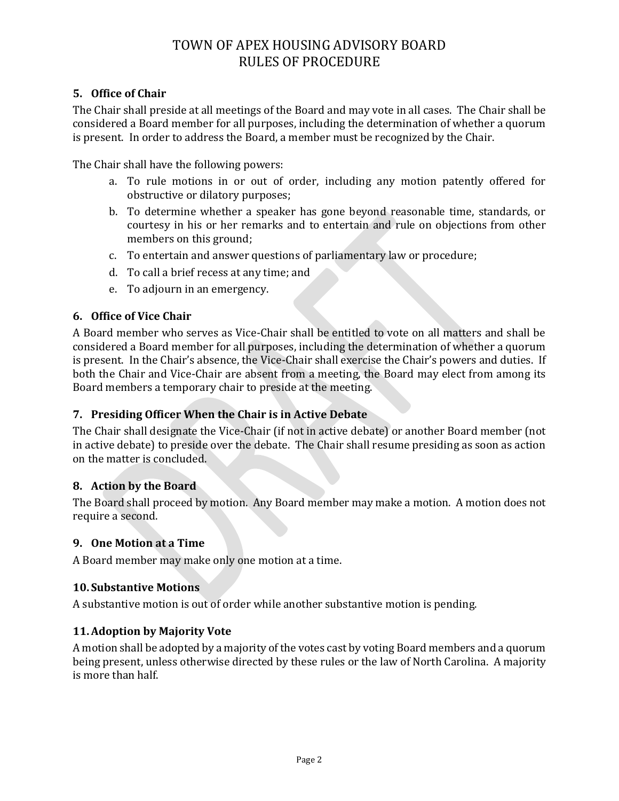## **5. Office of Chair**

The Chair shall preside at all meetings of the Board and may vote in all cases. The Chair shall be considered a Board member for all purposes, including the determination of whether a quorum is present. In order to address the Board, a member must be recognized by the Chair.

The Chair shall have the following powers:

- a. To rule motions in or out of order, including any motion patently offered for obstructive or dilatory purposes;
- b. To determine whether a speaker has gone beyond reasonable time, standards, or courtesy in his or her remarks and to entertain and rule on objections from other members on this ground;
- c. To entertain and answer questions of parliamentary law or procedure;
- d. To call a brief recess at any time; and
- e. To adjourn in an emergency.

### **6. Office of Vice Chair**

A Board member who serves as Vice-Chair shall be entitled to vote on all matters and shall be considered a Board member for all purposes, including the determination of whether a quorum is present. In the Chair's absence, the Vice-Chair shall exercise the Chair's powers and duties. If both the Chair and Vice-Chair are absent from a meeting, the Board may elect from among its Board members a temporary chair to preside at the meeting.

#### **7. Presiding Officer When the Chair is in Active Debate**

The Chair shall designate the Vice-Chair (if not in active debate) or another Board member (not in active debate) to preside over the debate. The Chair shall resume presiding as soon as action on the matter is concluded.

#### **8. Action by the Board**

The Board shall proceed by motion. Any Board member may make a motion. A motion does not require a second.

#### **9. One Motion at a Time**

A Board member may make only one motion at a time.

#### **10. Substantive Motions**

A substantive motion is out of order while another substantive motion is pending.

#### **11.Adoption by Majority Vote**

A motion shall be adopted by a majority of the votes cast by voting Board members and a quorum being present, unless otherwise directed by these rules or the law of North Carolina. A majority is more than half.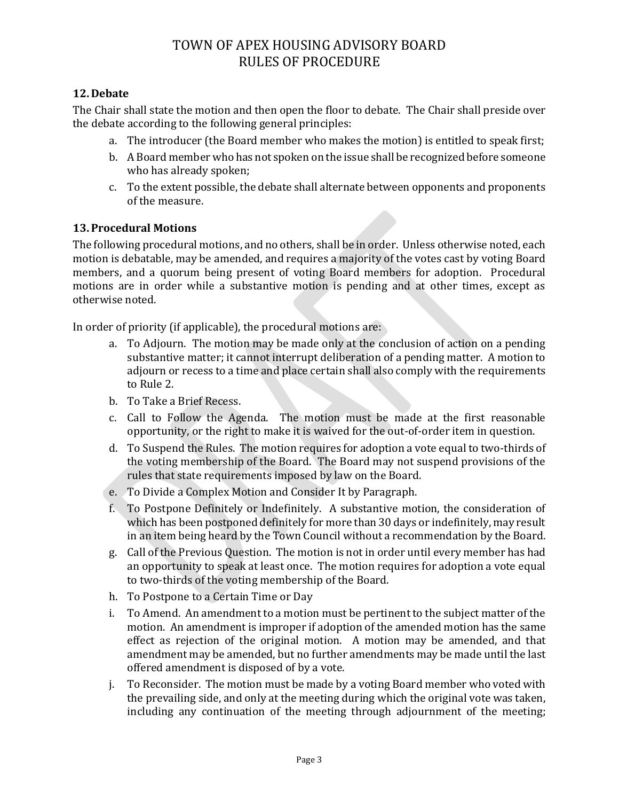## **12. Debate**

The Chair shall state the motion and then open the floor to debate. The Chair shall preside over the debate according to the following general principles:

- a. The introducer (the Board member who makes the motion) is entitled to speak first;
- b. A Board member who has not spoken on the issue shall be recognized before someone who has already spoken;
- c. To the extent possible, the debate shall alternate between opponents and proponents of the measure.

### **13.Procedural Motions**

The following procedural motions, and no others, shall be in order. Unless otherwise noted, each motion is debatable, may be amended, and requires a majority of the votes cast by voting Board members, and a quorum being present of voting Board members for adoption. Procedural motions are in order while a substantive motion is pending and at other times, except as otherwise noted.

In order of priority (if applicable), the procedural motions are:

- a. To Adjourn. The motion may be made only at the conclusion of action on a pending substantive matter; it cannot interrupt deliberation of a pending matter. A motion to adjourn or recess to a time and place certain shall also comply with the requirements to Rule 2.
- b. To Take a Brief Recess.
- c. Call to Follow the Agenda. The motion must be made at the first reasonable opportunity, or the right to make it is waived for the out-of-order item in question.
- d. To Suspend the Rules. The motion requires for adoption a vote equal to two-thirds of the voting membership of the Board. The Board may not suspend provisions of the rules that state requirements imposed by law on the Board.
- e. To Divide a Complex Motion and Consider It by Paragraph.
- f. To Postpone Definitely or Indefinitely. A substantive motion, the consideration of which has been postponed definitely for more than 30 days or indefinitely, may result in an item being heard by the Town Council without a recommendation by the Board.
- g. Call of the Previous Question. The motion is not in order until every member has had an opportunity to speak at least once. The motion requires for adoption a vote equal to two-thirds of the voting membership of the Board.
- h. To Postpone to a Certain Time or Day
- i. To Amend. An amendment to a motion must be pertinent to the subject matter of the motion. An amendment is improper if adoption of the amended motion has the same effect as rejection of the original motion. A motion may be amended, and that amendment may be amended, but no further amendments may be made until the last offered amendment is disposed of by a vote.
- j. To Reconsider. The motion must be made by a voting Board member who voted with the prevailing side, and only at the meeting during which the original vote was taken, including any continuation of the meeting through adjournment of the meeting;